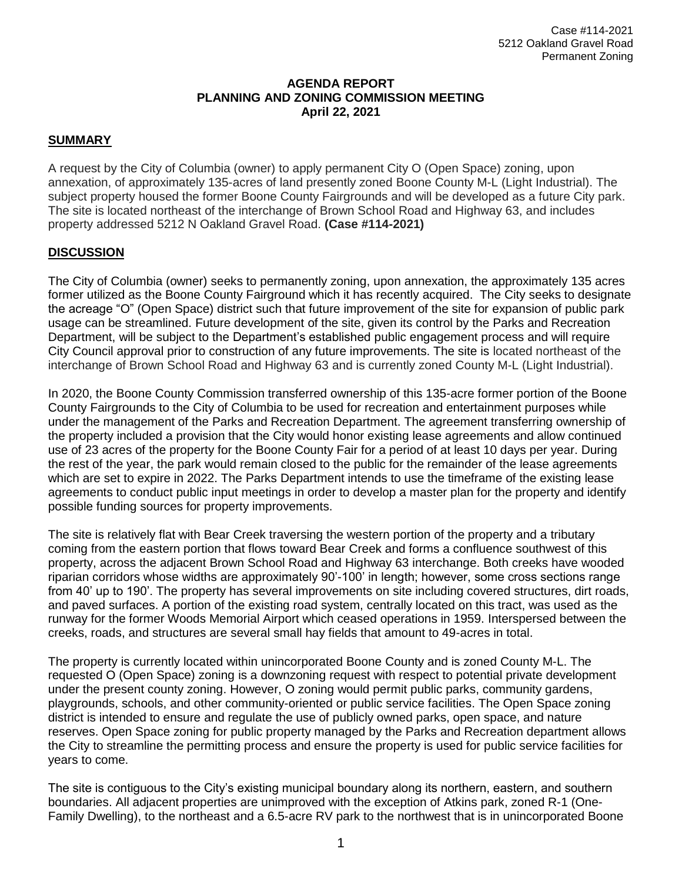# **AGENDA REPORT PLANNING AND ZONING COMMISSION MEETING April 22, 2021**

## **SUMMARY**

A request by the City of Columbia (owner) to apply permanent City O (Open Space) zoning, upon annexation, of approximately 135-acres of land presently zoned Boone County M-L (Light Industrial). The subject property housed the former Boone County Fairgrounds and will be developed as a future City park. The site is located northeast of the interchange of Brown School Road and Highway 63, and includes property addressed 5212 N Oakland Gravel Road. **(Case #114-2021)**

## **DISCUSSION**

The City of Columbia (owner) seeks to permanently zoning, upon annexation, the approximately 135 acres former utilized as the Boone County Fairground which it has recently acquired. The City seeks to designate the acreage "O" (Open Space) district such that future improvement of the site for expansion of public park usage can be streamlined. Future development of the site, given its control by the Parks and Recreation Department, will be subject to the Department's established public engagement process and will require City Council approval prior to construction of any future improvements. The site is located northeast of the interchange of Brown School Road and Highway 63 and is currently zoned County M-L (Light Industrial).

In 2020, the Boone County Commission transferred ownership of this 135-acre former portion of the Boone County Fairgrounds to the City of Columbia to be used for recreation and entertainment purposes while under the management of the Parks and Recreation Department. The agreement transferring ownership of the property included a provision that the City would honor existing lease agreements and allow continued use of 23 acres of the property for the Boone County Fair for a period of at least 10 days per year. During the rest of the year, the park would remain closed to the public for the remainder of the lease agreements which are set to expire in 2022. The Parks Department intends to use the timeframe of the existing lease agreements to conduct public input meetings in order to develop a master plan for the property and identify possible funding sources for property improvements.

The site is relatively flat with Bear Creek traversing the western portion of the property and a tributary coming from the eastern portion that flows toward Bear Creek and forms a confluence southwest of this property, across the adjacent Brown School Road and Highway 63 interchange. Both creeks have wooded riparian corridors whose widths are approximately 90'-100' in length; however, some cross sections range from 40' up to 190'. The property has several improvements on site including covered structures, dirt roads, and paved surfaces. A portion of the existing road system, centrally located on this tract, was used as the runway for the former Woods Memorial Airport which ceased operations in 1959. Interspersed between the creeks, roads, and structures are several small hay fields that amount to 49-acres in total.

The property is currently located within unincorporated Boone County and is zoned County M-L. The requested O (Open Space) zoning is a downzoning request with respect to potential private development under the present county zoning. However, O zoning would permit public parks, community gardens, playgrounds, schools, and other community-oriented or public service facilities. The Open Space zoning district is intended to ensure and regulate the use of publicly owned parks, open space, and nature reserves. Open Space zoning for public property managed by the Parks and Recreation department allows the City to streamline the permitting process and ensure the property is used for public service facilities for years to come.

The site is contiguous to the City's existing municipal boundary along its northern, eastern, and southern boundaries. All adjacent properties are unimproved with the exception of Atkins park, zoned R-1 (One-Family Dwelling), to the northeast and a 6.5-acre RV park to the northwest that is in unincorporated Boone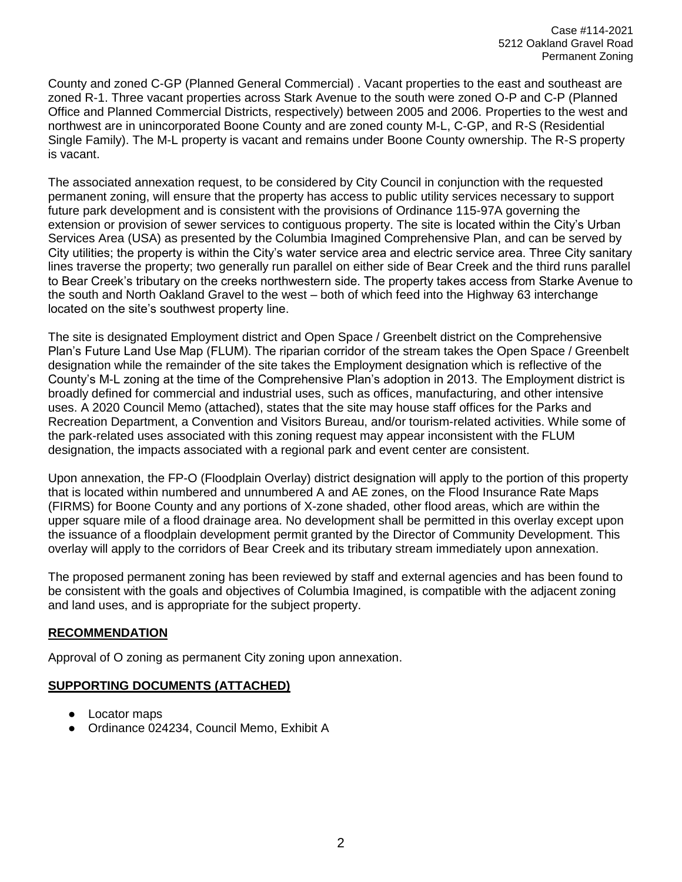County and zoned C-GP (Planned General Commercial) . Vacant properties to the east and southeast are zoned R-1. Three vacant properties across Stark Avenue to the south were zoned O-P and C-P (Planned Office and Planned Commercial Districts, respectively) between 2005 and 2006. Properties to the west and northwest are in unincorporated Boone County and are zoned county M-L, C-GP, and R-S (Residential Single Family). The M-L property is vacant and remains under Boone County ownership. The R-S property is vacant.

The associated annexation request, to be considered by City Council in conjunction with the requested permanent zoning, will ensure that the property has access to public utility services necessary to support future park development and is consistent with the provisions of Ordinance 115-97A governing the extension or provision of sewer services to contiguous property. The site is located within the City's Urban Services Area (USA) as presented by the Columbia Imagined Comprehensive Plan, and can be served by City utilities; the property is within the City's water service area and electric service area. Three City sanitary lines traverse the property; two generally run parallel on either side of Bear Creek and the third runs parallel to Bear Creek's tributary on the creeks northwestern side. The property takes access from Starke Avenue to the south and North Oakland Gravel to the west – both of which feed into the Highway 63 interchange located on the site's southwest property line.

The site is designated Employment district and Open Space / Greenbelt district on the Comprehensive Plan's Future Land Use Map (FLUM). The riparian corridor of the stream takes the Open Space / Greenbelt designation while the remainder of the site takes the Employment designation which is reflective of the County's M-L zoning at the time of the Comprehensive Plan's adoption in 2013. The Employment district is broadly defined for commercial and industrial uses, such as offices, manufacturing, and other intensive uses. A 2020 Council Memo (attached), states that the site may house staff offices for the Parks and Recreation Department, a Convention and Visitors Bureau, and/or tourism-related activities. While some of the park-related uses associated with this zoning request may appear inconsistent with the FLUM designation, the impacts associated with a regional park and event center are consistent.

Upon annexation, the FP-O (Floodplain Overlay) district designation will apply to the portion of this property that is located within numbered and unnumbered A and AE zones, on the Flood Insurance Rate Maps (FIRMS) for Boone County and any portions of X-zone shaded, other flood areas, which are within the upper square mile of a flood drainage area. No development shall be permitted in this overlay except upon the issuance of a floodplain development permit granted by the Director of Community Development. This overlay will apply to the corridors of Bear Creek and its tributary stream immediately upon annexation.

The proposed permanent zoning has been reviewed by staff and external agencies and has been found to be consistent with the goals and objectives of Columbia Imagined, is compatible with the adjacent zoning and land uses, and is appropriate for the subject property.

## **RECOMMENDATION**

Approval of O zoning as permanent City zoning upon annexation.

## **SUPPORTING DOCUMENTS (ATTACHED)**

- Locator maps
- Ordinance 024234, Council Memo, Exhibit A